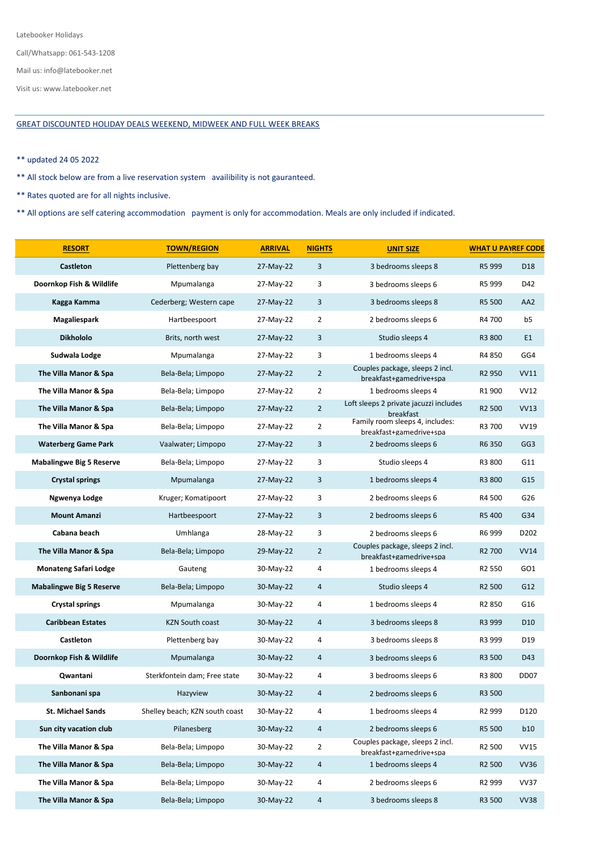Latebooker Holidays

Mail us: info@latebooker.net

Visit us: www.latebooker.net

## GREAT DISCOUNTED HOLIDAY DEALS WEEKEND, MIDWEEK AND FULL WEEK BREAKS

## \*\* updated 24 05 2022

\*\* All stock below are from a live reservation system availibility is not gauranteed.

\*\* Rates quoted are for all nights inclusive.

\*\* All options are self catering accommodation payment is only for accommodation. Meals are only included if indicated.

| <b>RESORT</b>                   | <b>TOWN/REGION</b>             | <b>ARRIVAL</b> | <b>NIGHTS</b>  | <b>UNIT SIZE</b>                                           | <b>WHAT U PAYREF CODE</b> |                  |
|---------------------------------|--------------------------------|----------------|----------------|------------------------------------------------------------|---------------------------|------------------|
| Castleton                       | Plettenberg bay                | 27-May-22      | 3              | 3 bedrooms sleeps 8                                        | R5 999                    | D <sub>18</sub>  |
| Doornkop Fish & Wildlife        | Mpumalanga                     | 27-May-22      | 3              | 3 bedrooms sleeps 6                                        | R5 999                    | D42              |
| Kagga Kamma                     | Cederberg; Western cape        | 27-May-22      | 3              | 3 bedrooms sleeps 8                                        | R5 500                    | AA <sub>2</sub>  |
| Magaliespark                    | Hartbeespoort                  | 27-May-22      | $\overline{2}$ | 2 bedrooms sleeps 6                                        | R4 700                    | b5               |
| <b>Dikhololo</b>                | Brits, north west              | 27-May-22      | 3              | Studio sleeps 4                                            | R3 800                    | E <sub>1</sub>   |
| Sudwala Lodge                   | Mpumalanga                     | 27-May-22      | 3              | 1 bedrooms sleeps 4                                        | R4 850                    | GG4              |
| The Villa Manor & Spa           | Bela-Bela; Limpopo             | 27-May-22      | $\overline{2}$ | Couples package, sleeps 2 incl.<br>breakfast+gamedrive+spa | R <sub>2</sub> 950        | <b>VV11</b>      |
| The Villa Manor & Spa           | Bela-Bela; Limpopo             | 27-May-22      | $\overline{2}$ | 1 bedrooms sleeps 4                                        | R1 900                    | <b>VV12</b>      |
| The Villa Manor & Spa           | Bela-Bela; Limpopo             | 27-May-22      | $\overline{2}$ | Loft sleeps 2 private jacuzzi includes<br>breakfast        | R <sub>2</sub> 500        | <b>VV13</b>      |
| The Villa Manor & Spa           | Bela-Bela; Limpopo             | 27-May-22      | $\overline{2}$ | Family room sleeps 4, includes:<br>breakfast+gamedrive+spa | R3 700                    | <b>VV19</b>      |
| <b>Waterberg Game Park</b>      | Vaalwater; Limpopo             | 27-May-22      | 3              | 2 bedrooms sleeps 6                                        | R6 350                    | GG <sub>3</sub>  |
| <b>Mabalingwe Big 5 Reserve</b> | Bela-Bela; Limpopo             | 27-May-22      | 3              | Studio sleeps 4                                            | R3 800                    | G11              |
| <b>Crystal springs</b>          | Mpumalanga                     | 27-May-22      | 3              | 1 bedrooms sleeps 4                                        | R3 800                    | G15              |
| Ngwenya Lodge                   | Kruger; Komatipoort            | 27-May-22      | 3              | 2 bedrooms sleeps 6                                        | R4 500                    | G26              |
| <b>Mount Amanzi</b>             | Hartbeespoort                  | 27-May-22      | 3              | 2 bedrooms sleeps 6                                        | R5 400                    | G34              |
| Cabana beach                    | Umhlanga                       | 28-May-22      | 3              | 2 bedrooms sleeps 6                                        | R6 999                    | D202             |
| The Villa Manor & Spa           | Bela-Bela; Limpopo             | 29-May-22      | $\overline{2}$ | Couples package, sleeps 2 incl.<br>breakfast+gamedrive+spa | R <sub>2</sub> 700        | <b>VV14</b>      |
| <b>Monateng Safari Lodge</b>    | Gauteng                        | 30-May-22      | 4              | 1 bedrooms sleeps 4                                        | R <sub>2</sub> 550        | GO1              |
| <b>Mabalingwe Big 5 Reserve</b> | Bela-Bela; Limpopo             | 30-May-22      | 4              | Studio sleeps 4                                            | R <sub>2</sub> 500        | G12              |
| <b>Crystal springs</b>          | Mpumalanga                     | 30-May-22      | 4              | 1 bedrooms sleeps 4                                        | R <sub>2</sub> 850        | G16              |
| <b>Caribbean Estates</b>        | <b>KZN South coast</b>         | 30-May-22      | 4              | 3 bedrooms sleeps 8                                        | R3 999                    | D <sub>10</sub>  |
| Castleton                       | Plettenberg bay                | 30-May-22      | 4              | 3 bedrooms sleeps 8                                        | R3 999                    | D19              |
| Doornkop Fish & Wildlife        | Mpumalanga                     | 30-May-22      | 4              | 3 bedrooms sleeps 6                                        | R3 500                    | D43              |
| Qwantani                        | Sterkfontein dam; Free state   | 30-May-22      | 4              | 3 bedrooms sleeps 6                                        | R3 800                    | DD <sub>07</sub> |
| Sanbonani spa                   | Hazyview                       | 30-May-22      | 4              | 2 bedrooms sleeps 6                                        | R3 500                    |                  |
| <b>St. Michael Sands</b>        | Shelley beach; KZN south coast | 30-May-22      | 4              | 1 bedrooms sleeps 4                                        | R <sub>2</sub> 999        | D120             |
| Sun city vacation club          | Pilanesberg                    | 30-May-22      | $\overline{a}$ | 2 bedrooms sleeps 6                                        | R5 500                    | <b>b10</b>       |
| The Villa Manor & Spa           | Bela-Bela; Limpopo             | 30-May-22      | $\overline{2}$ | Couples package, sleeps 2 incl.<br>breakfast+gamedrive+spa | R <sub>2</sub> 500        | <b>VV15</b>      |
| The Villa Manor & Spa           | Bela-Bela; Limpopo             | 30-May-22      | 4              | 1 bedrooms sleeps 4                                        | R <sub>2</sub> 500        | <b>VV36</b>      |
| The Villa Manor & Spa           | Bela-Bela; Limpopo             | 30-May-22      | 4              | 2 bedrooms sleeps 6                                        | R <sub>2</sub> 999        | <b>VV37</b>      |
| The Villa Manor & Spa           | Bela-Bela; Limpopo             | 30-May-22      | $\overline{a}$ | 3 bedrooms sleeps 8                                        | R3 500                    | <b>VV38</b>      |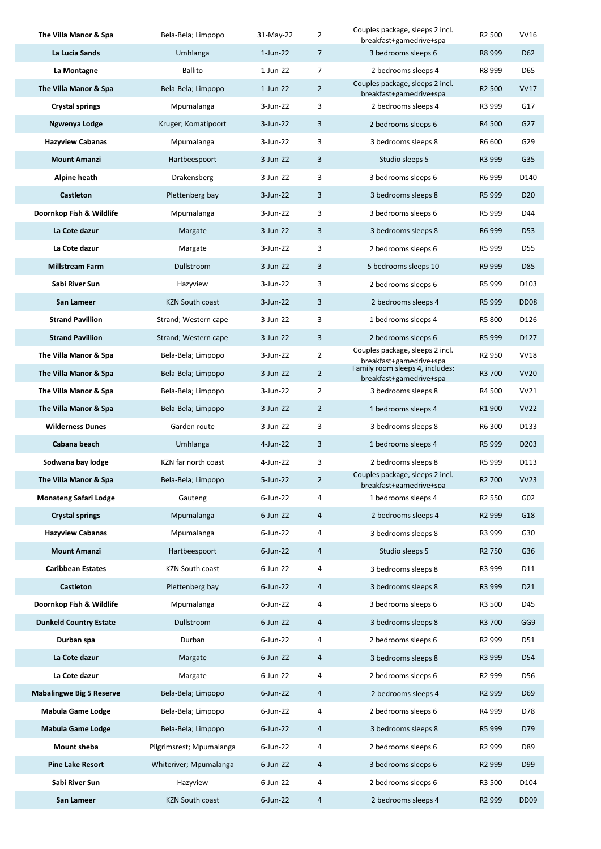| The Villa Manor & Spa           | Bela-Bela; Limpopo       | 31-May-22   | 2              | Couples package, sleeps 2 incl.<br>breakfast+gamedrive+spa | R2 500             | <b>VV16</b>       |
|---------------------------------|--------------------------|-------------|----------------|------------------------------------------------------------|--------------------|-------------------|
| La Lucia Sands                  | Umhlanga                 | $1$ -Jun-22 | $\overline{7}$ | 3 bedrooms sleeps 6                                        | R8 999             | D <sub>62</sub>   |
| La Montagne                     | <b>Ballito</b>           | $1$ -Jun-22 | 7              | 2 bedrooms sleeps 4                                        | R8 999             | D65               |
| The Villa Manor & Spa           | Bela-Bela; Limpopo       | $1$ -Jun-22 | $\overline{2}$ | Couples package, sleeps 2 incl.<br>breakfast+gamedrive+spa | R <sub>2</sub> 500 | <b>VV17</b>       |
| <b>Crystal springs</b>          | Mpumalanga               | 3-Jun-22    | 3              | 2 bedrooms sleeps 4                                        | R3 999             | G17               |
| Ngwenya Lodge                   | Kruger; Komatipoort      | $3$ -Jun-22 | 3              | 2 bedrooms sleeps 6                                        | R4 500             | G27               |
| <b>Hazyview Cabanas</b>         | Mpumalanga               | 3-Jun-22    | 3              | 3 bedrooms sleeps 8                                        | R6 600             | G29               |
| <b>Mount Amanzi</b>             | Hartbeespoort            | $3-Jun-22$  | 3              | Studio sleeps 5                                            | R3 999             | G35               |
| Alpine heath                    | Drakensberg              | 3-Jun-22    | 3              | 3 bedrooms sleeps 6                                        | R6 999             | D140              |
| Castleton                       | Plettenberg bay          | $3$ -Jun-22 | 3              | 3 bedrooms sleeps 8                                        | R5 999             | D <sub>20</sub>   |
| Doornkop Fish & Wildlife        | Mpumalanga               | 3-Jun-22    | 3              | 3 bedrooms sleeps 6                                        | R5 999             | D44               |
| La Cote dazur                   | Margate                  | $3$ -Jun-22 | 3              | 3 bedrooms sleeps 8                                        | R6 999             | D <sub>53</sub>   |
| La Cote dazur                   | Margate                  | 3-Jun-22    | 3              | 2 bedrooms sleeps 6                                        | R5 999             | D55               |
| <b>Millstream Farm</b>          | Dullstroom               | $3$ -Jun-22 | 3              | 5 bedrooms sleeps 10                                       | R9 999             | D85               |
| Sabi River Sun                  | Hazyview                 | $3$ -Jun-22 | 3              | 2 bedrooms sleeps 6                                        | R5 999             | D103              |
| <b>San Lameer</b>               | <b>KZN South coast</b>   | 3-Jun-22    | 3              | 2 bedrooms sleeps 4                                        | R5 999             | DD <sub>08</sub>  |
| <b>Strand Pavillion</b>         | Strand; Western cape     | 3-Jun-22    | 3              | 1 bedrooms sleeps 4                                        | R5 800             | D126              |
| <b>Strand Pavillion</b>         | Strand; Western cape     | 3-Jun-22    | 3              | 2 bedrooms sleeps 6                                        | R5 999             | D127              |
| The Villa Manor & Spa           | Bela-Bela; Limpopo       | 3-Jun-22    | $\overline{2}$ | Couples package, sleeps 2 incl.<br>breakfast+gamedrive+spa | R <sub>2</sub> 950 | <b>VV18</b>       |
| The Villa Manor & Spa           | Bela-Bela; Limpopo       | $3$ -Jun-22 | $\overline{2}$ | Family room sleeps 4, includes:<br>breakfast+gamedrive+spa | R3 700             | <b>VV20</b>       |
| The Villa Manor & Spa           | Bela-Bela; Limpopo       | $3$ -Jun-22 | $\overline{2}$ | 3 bedrooms sleeps 8                                        | R4 500             | <b>VV21</b>       |
| The Villa Manor & Spa           | Bela-Bela; Limpopo       | $3$ -Jun-22 | $\overline{2}$ | 1 bedrooms sleeps 4                                        | R <sub>1</sub> 900 | <b>VV22</b>       |
| <b>Wilderness Dunes</b>         | Garden route             | 3-Jun-22    | 3              | 3 bedrooms sleeps 8                                        | R6 300             | D133              |
| Cabana beach                    | Umhlanga                 | 4-Jun-22    | 3              | 1 bedrooms sleeps 4                                        | R5 999             | D <sub>2</sub> 03 |
| Sodwana bay lodge               | KZN far north coast      | $4$ -Jun-22 | 3              | 2 bedrooms sleeps 8                                        | R5 999             | D113              |
| The Villa Manor & Spa           | Bela-Bela; Limpopo       | 5-Jun-22    | 2              | Couples package, sleeps 2 incl.<br>breakfast+gamedrive+spa | R2 700             | <b>VV23</b>       |
| <b>Monateng Safari Lodge</b>    | Gauteng                  | $6$ -Jun-22 | 4              | 1 bedrooms sleeps 4                                        | R <sub>2</sub> 550 | G02               |
| <b>Crystal springs</b>          | Mpumalanga               | $6$ -Jun-22 | 4              | 2 bedrooms sleeps 4                                        | R <sub>2</sub> 999 | G18               |
| <b>Hazyview Cabanas</b>         | Mpumalanga               | $6$ -Jun-22 | 4              | 3 bedrooms sleeps 8                                        | R3 999             | G30               |
| <b>Mount Amanzi</b>             | Hartbeespoort            | $6$ -Jun-22 | 4              | Studio sleeps 5                                            | R <sub>2</sub> 750 | G36               |
| <b>Caribbean Estates</b>        | KZN South coast          | 6-Jun-22    | 4              | 3 bedrooms sleeps 8                                        | R3 999             | D11               |
| Castleton                       | Plettenberg bay          | $6$ -Jun-22 | 4              | 3 bedrooms sleeps 8                                        | R3 999             | D <sub>21</sub>   |
| Doornkop Fish & Wildlife        | Mpumalanga               | $6$ -Jun-22 | 4              | 3 bedrooms sleeps 6                                        | R3 500             | D45               |
| <b>Dunkeld Country Estate</b>   | Dullstroom               | $6$ -Jun-22 | 4              | 3 bedrooms sleeps 8                                        | R3 700             | GG9               |
| Durban spa                      | Durban                   | $6$ -Jun-22 | 4              | 2 bedrooms sleeps 6                                        | R <sub>2</sub> 999 | D51               |
| La Cote dazur                   | Margate                  | $6$ -Jun-22 | $\overline{4}$ | 3 bedrooms sleeps 8                                        | R3 999             | D54               |
| La Cote dazur                   | Margate                  | $6$ -Jun-22 | 4              | 2 bedrooms sleeps 6                                        | R <sub>2</sub> 999 | D56               |
| <b>Mabalingwe Big 5 Reserve</b> | Bela-Bela; Limpopo       | $6$ -Jun-22 | 4              | 2 bedrooms sleeps 4                                        | R <sub>2</sub> 999 | D69               |
| <b>Mabula Game Lodge</b>        | Bela-Bela; Limpopo       | $6$ -Jun-22 | 4              | 2 bedrooms sleeps 6                                        | R4 999             | D78               |
| <b>Mabula Game Lodge</b>        | Bela-Bela; Limpopo       | $6$ -Jun-22 | $\overline{4}$ | 3 bedrooms sleeps 8                                        | R5 999             | D79               |
| Mount sheba                     | Pilgrimsrest; Mpumalanga | $6$ -Jun-22 | 4              | 2 bedrooms sleeps 6                                        | R <sub>2</sub> 999 | D89               |
| <b>Pine Lake Resort</b>         | Whiteriver; Mpumalanga   | $6$ -Jun-22 | 4              | 3 bedrooms sleeps 6                                        | R <sub>2</sub> 999 | D99               |
| Sabi River Sun                  | Hazyview                 | $6$ -Jun-22 | 4              | 2 bedrooms sleeps 6                                        | R3 500             | D104              |
| San Lameer                      | <b>KZN South coast</b>   | 6-Jun-22    | 4              | 2 bedrooms sleeps 4                                        | R <sub>2</sub> 999 | <b>DD09</b>       |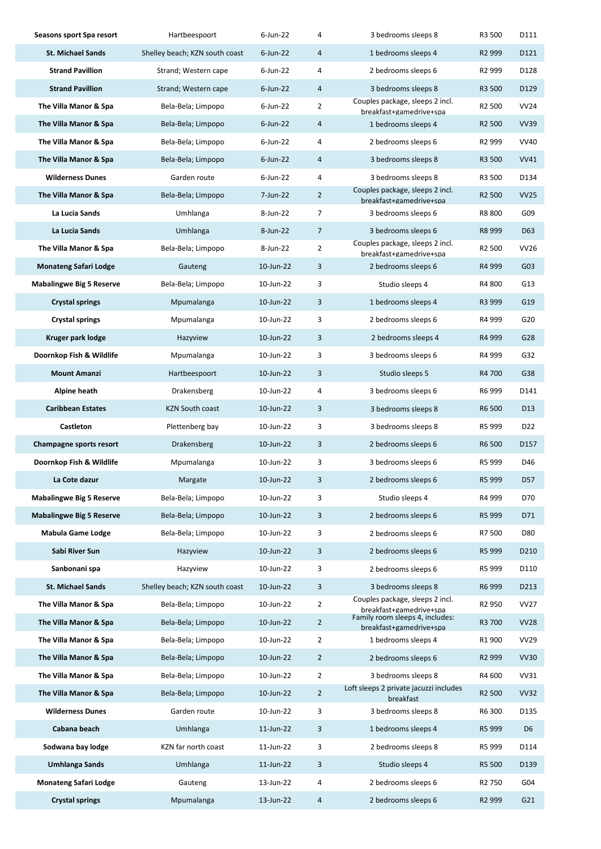| Seasons sport Spa resort        | Hartbeespoort                  | 6-Jun-22    | 4              | 3 bedrooms sleeps 8                                        | R3 500             | D111             |
|---------------------------------|--------------------------------|-------------|----------------|------------------------------------------------------------|--------------------|------------------|
| <b>St. Michael Sands</b>        | Shelley beach; KZN south coast | $6$ -Jun-22 | 4              | 1 bedrooms sleeps 4                                        | R <sub>2</sub> 999 | D121             |
| <b>Strand Pavillion</b>         | Strand; Western cape           | $6$ -Jun-22 | 4              | 2 bedrooms sleeps 6                                        | R <sub>2</sub> 999 | D128             |
| <b>Strand Pavillion</b>         | Strand; Western cape           | $6$ -Jun-22 | 4              | 3 bedrooms sleeps 8                                        | R3 500             | D129             |
| The Villa Manor & Spa           | Bela-Bela; Limpopo             | $6$ -Jun-22 | $\overline{2}$ | Couples package, sleeps 2 incl.<br>breakfast+gamedrive+spa | R <sub>2</sub> 500 | <b>VV24</b>      |
| The Villa Manor & Spa           | Bela-Bela; Limpopo             | $6$ -Jun-22 | 4              | 1 bedrooms sleeps 4                                        | R <sub>2</sub> 500 | <b>VV39</b>      |
| The Villa Manor & Spa           | Bela-Bela; Limpopo             | 6-Jun-22    | 4              | 2 bedrooms sleeps 6                                        | R <sub>2</sub> 999 | <b>VV40</b>      |
| The Villa Manor & Spa           | Bela-Bela; Limpopo             | $6$ -Jun-22 | 4              | 3 bedrooms sleeps 8                                        | R3 500             | <b>VV41</b>      |
| <b>Wilderness Dunes</b>         | Garden route                   | $6$ -Jun-22 | 4              | 3 bedrooms sleeps 8                                        | R3 500             | D134             |
| The Villa Manor & Spa           | Bela-Bela; Limpopo             | 7-Jun-22    | $\overline{2}$ | Couples package, sleeps 2 incl.<br>breakfast+gamedrive+spa | R <sub>2</sub> 500 | <b>VV25</b>      |
| La Lucia Sands                  | Umhlanga                       | 8-Jun-22    | 7              | 3 bedrooms sleeps 6                                        | R8 800             | G09              |
| La Lucia Sands                  | Umhlanga                       | 8-Jun-22    | $\overline{7}$ | 3 bedrooms sleeps 6                                        | R8 999             | D63              |
| The Villa Manor & Spa           | Bela-Bela; Limpopo             | 8-Jun-22    | 2              | Couples package, sleeps 2 incl.<br>breakfast+gamedrive+spa | R <sub>2</sub> 500 | <b>VV26</b>      |
| <b>Monateng Safari Lodge</b>    | Gauteng                        | 10-Jun-22   | 3              | 2 bedrooms sleeps 6                                        | R4 999             | G03              |
| <b>Mabalingwe Big 5 Reserve</b> | Bela-Bela; Limpopo             | 10-Jun-22   | 3              | Studio sleeps 4                                            | R4 800             | G13              |
| <b>Crystal springs</b>          | Mpumalanga                     | 10-Jun-22   | 3              | 1 bedrooms sleeps 4                                        | R3 999             | G19              |
| <b>Crystal springs</b>          | Mpumalanga                     | 10-Jun-22   | 3              | 2 bedrooms sleeps 6                                        | R4 999             | G20              |
| Kruger park lodge               | Hazyview                       | 10-Jun-22   | 3              | 2 bedrooms sleeps 4                                        | R4 999             | G28              |
| Doornkop Fish & Wildlife        | Mpumalanga                     | 10-Jun-22   | 3              | 3 bedrooms sleeps 6                                        | R4 999             | G32              |
| <b>Mount Amanzi</b>             | Hartbeespoort                  | 10-Jun-22   | 3              | Studio sleeps 5                                            | R4 700             | G38              |
| <b>Alpine heath</b>             | Drakensberg                    | 10-Jun-22   | 4              | 3 bedrooms sleeps 6                                        | R6 999             | D141             |
| <b>Caribbean Estates</b>        | <b>KZN South coast</b>         | 10-Jun-22   | 3              | 3 bedrooms sleeps 8                                        | R6 500             | D <sub>13</sub>  |
| Castleton                       | Plettenberg bay                | 10-Jun-22   | 3              | 3 bedrooms sleeps 8                                        | R5 999             | D <sub>22</sub>  |
| Champagne sports resort         | Drakensberg                    | 10-Jun-22   | 3              | 2 bedrooms sleeps 6                                        | R6 500             | D157             |
| Doornkop Fish & Wildlife        | Mpumalanga                     | 10-Jun-22   | 3              | 3 bedrooms sleeps 6                                        | R5 999             | D46              |
| La Cote dazur                   | Margate                        | 10-Jun-22   | 3              | 2 bedrooms sleeps 6                                        | R5 999             | D57              |
| <b>Mabalingwe Big 5 Reserve</b> | Bela-Bela; Limpopo             | 10-Jun-22   | 3              | Studio sleeps 4                                            | R4 999             | D70              |
| <b>Mabalingwe Big 5 Reserve</b> | Bela-Bela; Limpopo             | 10-Jun-22   | 3              | 2 bedrooms sleeps 6                                        | R5 999             | D71              |
| <b>Mabula Game Lodge</b>        | Bela-Bela; Limpopo             | 10-Jun-22   | 3              | 2 bedrooms sleeps 6                                        | R7 500             | D80              |
| Sabi River Sun                  | Hazyview                       | 10-Jun-22   | 3              | 2 bedrooms sleeps 6                                        | R5 999             | D <sub>210</sub> |
| Sanbonani spa                   | Hazyview                       | 10-Jun-22   | 3              | 2 bedrooms sleeps 6                                        | R5 999             | D110             |
| <b>St. Michael Sands</b>        | Shelley beach; KZN south coast | 10-Jun-22   | 3              | 3 bedrooms sleeps 8                                        | R6 999             | D213             |
| The Villa Manor & Spa           | Bela-Bela; Limpopo             | 10-Jun-22   | 2              | Couples package, sleeps 2 incl.<br>breakfast+gamedrive+spa | R <sub>2</sub> 950 | <b>VV27</b>      |
| The Villa Manor & Spa           | Bela-Bela; Limpopo             | 10-Jun-22   | $\overline{2}$ | Family room sleeps 4, includes:<br>breakfast+gamedrive+spa | R3 700             | <b>VV28</b>      |
| The Villa Manor & Spa           | Bela-Bela; Limpopo             | 10-Jun-22   | 2              | 1 bedrooms sleeps 4                                        | R <sub>1</sub> 900 | <b>VV29</b>      |
| The Villa Manor & Spa           | Bela-Bela; Limpopo             | 10-Jun-22   | $\overline{2}$ | 2 bedrooms sleeps 6                                        | R <sub>2</sub> 999 | <b>VV30</b>      |
| The Villa Manor & Spa           | Bela-Bela; Limpopo             | 10-Jun-22   | 2              | 3 bedrooms sleeps 8                                        | R4 600             | VV31             |
| The Villa Manor & Spa           | Bela-Bela; Limpopo             | 10-Jun-22   | $\overline{2}$ | Loft sleeps 2 private jacuzzi includes<br>breakfast        | R <sub>2</sub> 500 | <b>VV32</b>      |
| <b>Wilderness Dunes</b>         | Garden route                   | 10-Jun-22   | 3              | 3 bedrooms sleeps 8                                        | R6 300             | D135             |
| Cabana beach                    | Umhlanga                       | 11-Jun-22   | 3              | 1 bedrooms sleeps 4                                        | R5 999             | D <sub>6</sub>   |
| Sodwana bay lodge               | KZN far north coast            | 11-Jun-22   | 3              | 2 bedrooms sleeps 8                                        | R5 999             | D114             |
| <b>Umhlanga Sands</b>           | Umhlanga                       | 11-Jun-22   | 3              | Studio sleeps 4                                            | R5 500             | D139             |
| <b>Monateng Safari Lodge</b>    | Gauteng                        | 13-Jun-22   | 4              | 2 bedrooms sleeps 6                                        | R <sub>2</sub> 750 | G04              |
| <b>Crystal springs</b>          | Mpumalanga                     | 13-Jun-22   | 4              | 2 bedrooms sleeps 6                                        | R <sub>2</sub> 999 | G21              |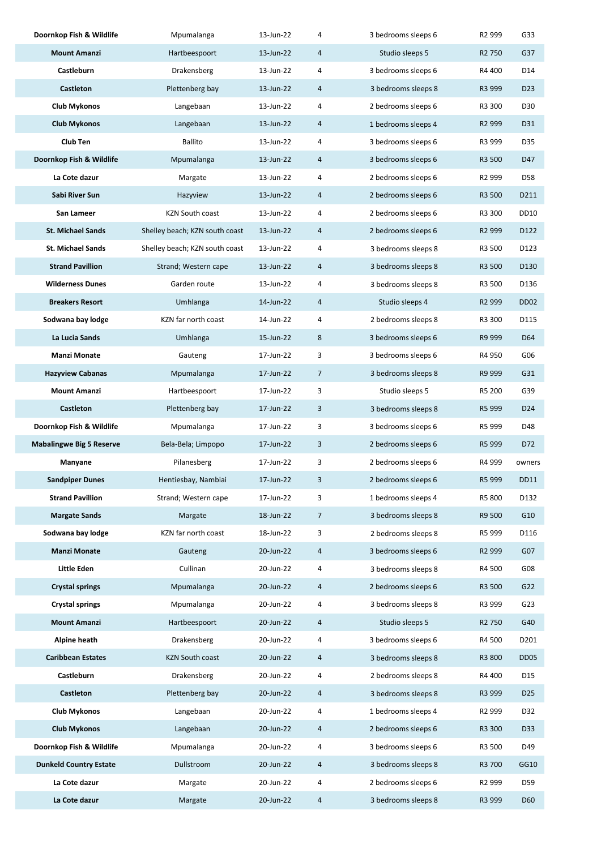| Doornkop Fish & Wildlife        | Mpumalanga                     | 13-Jun-22 | 4 | 3 bedrooms sleeps 6 | R <sub>2</sub> 999 | G33              |
|---------------------------------|--------------------------------|-----------|---|---------------------|--------------------|------------------|
| <b>Mount Amanzi</b>             | Hartbeespoort                  | 13-Jun-22 | 4 | Studio sleeps 5     | R <sub>2</sub> 750 | G37              |
| Castleburn                      | Drakensberg                    | 13-Jun-22 | 4 | 3 bedrooms sleeps 6 | R4 400             | D14              |
| <b>Castleton</b>                | Plettenberg bay                | 13-Jun-22 | 4 | 3 bedrooms sleeps 8 | R3 999             | D <sub>23</sub>  |
| <b>Club Mykonos</b>             | Langebaan                      | 13-Jun-22 | 4 | 2 bedrooms sleeps 6 | R3 300             | D30              |
| <b>Club Mykonos</b>             | Langebaan                      | 13-Jun-22 | 4 | 1 bedrooms sleeps 4 | R <sub>2</sub> 999 | D31              |
| Club Ten                        | <b>Ballito</b>                 | 13-Jun-22 | 4 | 3 bedrooms sleeps 6 | R3 999             | D35              |
| Doornkop Fish & Wildlife        | Mpumalanga                     | 13-Jun-22 | 4 | 3 bedrooms sleeps 6 | R3 500             | D47              |
| La Cote dazur                   | Margate                        | 13-Jun-22 | 4 | 2 bedrooms sleeps 6 | R <sub>2</sub> 999 | D58              |
| Sabi River Sun                  | Hazyview                       | 13-Jun-22 | 4 | 2 bedrooms sleeps 6 | R3 500             | D211             |
| San Lameer                      | <b>KZN South coast</b>         | 13-Jun-22 | 4 | 2 bedrooms sleeps 6 | R3 300             | DD10             |
| <b>St. Michael Sands</b>        | Shelley beach; KZN south coast | 13-Jun-22 | 4 | 2 bedrooms sleeps 6 | R <sub>2</sub> 999 | D122             |
| <b>St. Michael Sands</b>        | Shelley beach; KZN south coast | 13-Jun-22 | 4 | 3 bedrooms sleeps 8 | R3 500             | D123             |
| <b>Strand Pavillion</b>         | Strand; Western cape           | 13-Jun-22 | 4 | 3 bedrooms sleeps 8 | R3 500             | D130             |
| <b>Wilderness Dunes</b>         | Garden route                   | 13-Jun-22 | 4 | 3 bedrooms sleeps 8 | R3 500             | D136             |
| <b>Breakers Resort</b>          | Umhlanga                       | 14-Jun-22 | 4 | Studio sleeps 4     | R <sub>2</sub> 999 | DD <sub>02</sub> |
| Sodwana bay lodge               | KZN far north coast            | 14-Jun-22 | 4 | 2 bedrooms sleeps 8 | R3 300             | D115             |
| La Lucia Sands                  | Umhlanga                       | 15-Jun-22 | 8 | 3 bedrooms sleeps 6 | R9 999             | D64              |
| <b>Manzi Monate</b>             | Gauteng                        | 17-Jun-22 | 3 | 3 bedrooms sleeps 6 | R4 950             | G06              |
| <b>Hazyview Cabanas</b>         | Mpumalanga                     | 17-Jun-22 | 7 | 3 bedrooms sleeps 8 | R9 999             | G31              |
| <b>Mount Amanzi</b>             | Hartbeespoort                  | 17-Jun-22 | 3 | Studio sleeps 5     | R5 200             | G39              |
| <b>Castleton</b>                | Plettenberg bay                | 17-Jun-22 | 3 | 3 bedrooms sleeps 8 | R5 999             | D <sub>24</sub>  |
| Doornkop Fish & Wildlife        | Mpumalanga                     | 17-Jun-22 | 3 | 3 bedrooms sleeps 6 | R5 999             | D48              |
| <b>Mabalingwe Big 5 Reserve</b> | Bela-Bela; Limpopo             | 17-Jun-22 | 3 | 2 bedrooms sleeps 6 | R5 999             | D72              |
| Manyane                         | Pilanesberg                    | 17-Jun-22 | 3 | 2 bedrooms sleeps 6 | R4 999             | owners           |
| <b>Sandpiper Dunes</b>          | Hentiesbay, Nambiai            | 17-Jun-22 | 3 | 2 bedrooms sleeps 6 | R5 999             | DD11             |
| <b>Strand Pavillion</b>         | Strand; Western cape           | 17-Jun-22 | 3 | 1 bedrooms sleeps 4 | R5 800             | D132             |
| <b>Margate Sands</b>            | Margate                        | 18-Jun-22 | 7 | 3 bedrooms sleeps 8 | R9 500             | G10              |
| Sodwana bay lodge               | KZN far north coast            | 18-Jun-22 | 3 | 2 bedrooms sleeps 8 | R5 999             | D116             |
| <b>Manzi Monate</b>             | Gauteng                        | 20-Jun-22 | 4 | 3 bedrooms sleeps 6 | R <sub>2</sub> 999 | G07              |
| Little Eden                     | Cullinan                       | 20-Jun-22 | 4 | 3 bedrooms sleeps 8 | R4 500             | G08              |
| <b>Crystal springs</b>          | Mpumalanga                     | 20-Jun-22 | 4 | 2 bedrooms sleeps 6 | R3 500             | G22              |
| <b>Crystal springs</b>          | Mpumalanga                     | 20-Jun-22 | 4 | 3 bedrooms sleeps 8 | R3 999             | G23              |
| <b>Mount Amanzi</b>             | Hartbeespoort                  | 20-Jun-22 | 4 | Studio sleeps 5     | R <sub>2</sub> 750 | G40              |
| Alpine heath                    | Drakensberg                    | 20-Jun-22 | 4 | 3 bedrooms sleeps 6 | R4 500             | D201             |
| <b>Caribbean Estates</b>        | KZN South coast                | 20-Jun-22 | 4 | 3 bedrooms sleeps 8 | R3 800             | DD <sub>05</sub> |
| Castleburn                      | Drakensberg                    | 20-Jun-22 | 4 | 2 bedrooms sleeps 8 | R4 400             | D15              |
| Castleton                       | Plettenberg bay                | 20-Jun-22 | 4 | 3 bedrooms sleeps 8 | R3 999             | D <sub>25</sub>  |
| <b>Club Mykonos</b>             | Langebaan                      | 20-Jun-22 | 4 | 1 bedrooms sleeps 4 | R <sub>2</sub> 999 | D32              |
| <b>Club Mykonos</b>             | Langebaan                      | 20-Jun-22 | 4 | 2 bedrooms sleeps 6 | R3 300             | D33              |
| Doornkop Fish & Wildlife        | Mpumalanga                     | 20-Jun-22 | 4 | 3 bedrooms sleeps 6 | R3 500             | D49              |
| <b>Dunkeld Country Estate</b>   | Dullstroom                     | 20-Jun-22 | 4 | 3 bedrooms sleeps 8 | R3 700             | GG10             |
| La Cote dazur                   | Margate                        | 20-Jun-22 | 4 | 2 bedrooms sleeps 6 | R <sub>2</sub> 999 | D59              |
| La Cote dazur                   | Margate                        | 20-Jun-22 | 4 | 3 bedrooms sleeps 8 | R3 999             | D60              |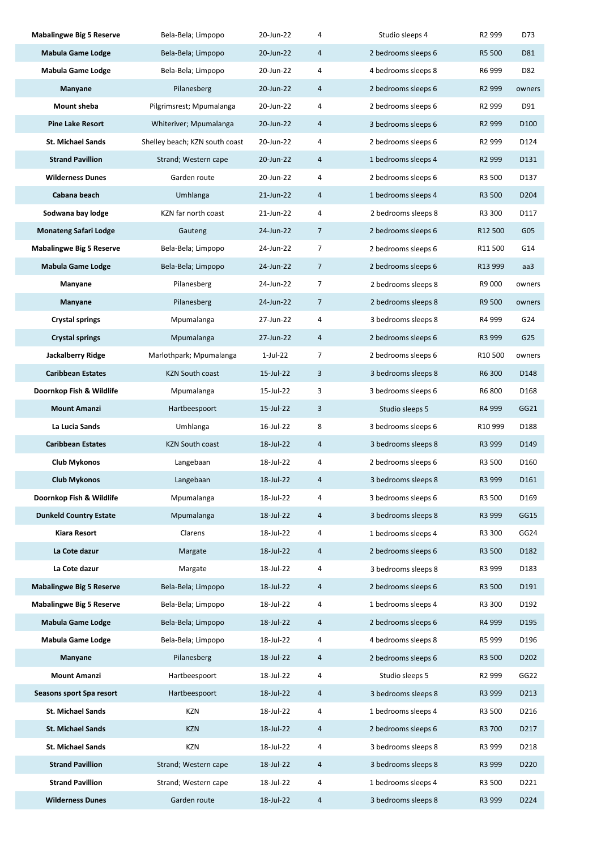| <b>Mabalingwe Big 5 Reserve</b> | Bela-Bela; Limpopo             | 20-Jun-22 | 4              | Studio sleeps 4     | R <sub>2</sub> 999  | D73                           |
|---------------------------------|--------------------------------|-----------|----------------|---------------------|---------------------|-------------------------------|
| <b>Mabula Game Lodge</b>        | Bela-Bela; Limpopo             | 20-Jun-22 | 4              | 2 bedrooms sleeps 6 | R5 500              | D81                           |
| Mabula Game Lodge               | Bela-Bela; Limpopo             | 20-Jun-22 | 4              | 4 bedrooms sleeps 8 | R6 999              | D82                           |
| Manyane                         | Pilanesberg                    | 20-Jun-22 | 4              | 2 bedrooms sleeps 6 | R <sub>2</sub> 999  | owners                        |
| Mount sheba                     | Pilgrimsrest; Mpumalanga       | 20-Jun-22 | 4              | 2 bedrooms sleeps 6 | R <sub>2</sub> 999  | D91                           |
| <b>Pine Lake Resort</b>         | Whiteriver; Mpumalanga         | 20-Jun-22 | 4              | 3 bedrooms sleeps 6 | R <sub>2</sub> 999  | D <sub>100</sub>              |
| <b>St. Michael Sands</b>        | Shelley beach; KZN south coast | 20-Jun-22 | 4              | 2 bedrooms sleeps 6 | R <sub>2</sub> 999  | D124                          |
| <b>Strand Pavillion</b>         | Strand; Western cape           | 20-Jun-22 | 4              | 1 bedrooms sleeps 4 | R <sub>2</sub> 999  | D131                          |
| <b>Wilderness Dunes</b>         | Garden route                   | 20-Jun-22 | 4              | 2 bedrooms sleeps 6 | R3 500              | D137                          |
| Cabana beach                    | Umhlanga                       | 21-Jun-22 | 4              | 1 bedrooms sleeps 4 | R3 500              | D <sub>204</sub>              |
| Sodwana bay lodge               | KZN far north coast            | 21-Jun-22 | 4              | 2 bedrooms sleeps 8 | R3 300              | D117                          |
| <b>Monateng Safari Lodge</b>    | Gauteng                        | 24-Jun-22 | $\overline{7}$ | 2 bedrooms sleeps 6 | R12 500             | G05                           |
| <b>Mabalingwe Big 5 Reserve</b> | Bela-Bela; Limpopo             | 24-Jun-22 | $\overline{7}$ | 2 bedrooms sleeps 6 | R11 500             | G14                           |
| <b>Mabula Game Lodge</b>        | Bela-Bela; Limpopo             | 24-Jun-22 | $\overline{7}$ | 2 bedrooms sleeps 6 | R13 999             | aa3                           |
| Manyane                         | Pilanesberg                    | 24-Jun-22 | 7              | 2 bedrooms sleeps 8 | R9 000              | owners                        |
| Manyane                         | Pilanesberg                    | 24-Jun-22 | $\overline{7}$ | 2 bedrooms sleeps 8 | R9 500              | owners                        |
| Crystal springs                 | Mpumalanga                     | 27-Jun-22 | 4              | 3 bedrooms sleeps 8 | R4 999              | G24                           |
| <b>Crystal springs</b>          | Mpumalanga                     | 27-Jun-22 | 4              | 2 bedrooms sleeps 6 | R3 999              | G <sub>25</sub>               |
| Jackalberry Ridge               | Marlothpark; Mpumalanga        | 1-Jul-22  | 7              | 2 bedrooms sleeps 6 | R <sub>10</sub> 500 | owners                        |
| <b>Caribbean Estates</b>        | <b>KZN South coast</b>         | 15-Jul-22 | 3              | 3 bedrooms sleeps 8 | R6 300              | D148                          |
| Doornkop Fish & Wildlife        | Mpumalanga                     | 15-Jul-22 | 3              | 3 bedrooms sleeps 6 | R6 800              | D168                          |
| <b>Mount Amanzi</b>             | Hartbeespoort                  | 15-Jul-22 | 3              | Studio sleeps 5     | R4 999              | GG21                          |
| La Lucia Sands                  | Umhlanga                       | 16-Jul-22 | 8              | 3 bedrooms sleeps 6 | R <sub>10</sub> 999 | D188                          |
| <b>Caribbean Estates</b>        | <b>KZN South coast</b>         | 18-Jul-22 | $\overline{a}$ | 3 bedrooms sleeps 8 | R3 999              | D149                          |
| Club Mykonos                    | Langebaan                      | 18-Jul-22 | 4              | 2 bedrooms sleeps 6 | R3 500              | D160                          |
| <b>Club Mykonos</b>             | Langebaan                      | 18-Jul-22 | 4              | 3 bedrooms sleeps 8 | R3 999              | D161                          |
| Doornkop Fish & Wildlife        | Mpumalanga                     | 18-Jul-22 | 4              | 3 bedrooms sleeps 6 | R3 500              | D169                          |
| <b>Dunkeld Country Estate</b>   | Mpumalanga                     | 18-Jul-22 | 4              | 3 bedrooms sleeps 8 | R3 999              | GG15                          |
| Kiara Resort                    | Clarens                        | 18-Jul-22 | 4              | 1 bedrooms sleeps 4 | R3 300              | GG <sub>24</sub>              |
| La Cote dazur                   | Margate                        | 18-Jul-22 | 4              | 2 bedrooms sleeps 6 | R3 500              | D182                          |
| La Cote dazur                   | Margate                        | 18-Jul-22 | 4              | 3 bedrooms sleeps 8 | R3 999              | D183                          |
| <b>Mabalingwe Big 5 Reserve</b> | Bela-Bela; Limpopo             | 18-Jul-22 | 4              | 2 bedrooms sleeps 6 | R3 500              | D191                          |
| <b>Mabalingwe Big 5 Reserve</b> | Bela-Bela; Limpopo             | 18-Jul-22 | 4              | 1 bedrooms sleeps 4 | R3 300              | D192                          |
| <b>Mabula Game Lodge</b>        | Bela-Bela; Limpopo             | 18-Jul-22 | 4              | 2 bedrooms sleeps 6 | R4 999              | D195                          |
| <b>Mabula Game Lodge</b>        | Bela-Bela; Limpopo             | 18-Jul-22 | 4              | 4 bedrooms sleeps 8 | R5 999              | D196                          |
| Manyane                         | Pilanesberg                    | 18-Jul-22 | 4              | 2 bedrooms sleeps 6 | R3 500              | D <sub>2</sub> 0 <sub>2</sub> |
| <b>Mount Amanzi</b>             | Hartbeespoort                  | 18-Jul-22 | 4              | Studio sleeps 5     | R <sub>2</sub> 999  | GG22                          |
| Seasons sport Spa resort        | Hartbeespoort                  | 18-Jul-22 | $\overline{a}$ | 3 bedrooms sleeps 8 | R3 999              | D213                          |
| <b>St. Michael Sands</b>        | KZN                            | 18-Jul-22 | 4              | 1 bedrooms sleeps 4 | R3 500              | D216                          |
| <b>St. Michael Sands</b>        | KZN                            | 18-Jul-22 | 4              | 2 bedrooms sleeps 6 | R3 700              | D <sub>217</sub>              |
| <b>St. Michael Sands</b>        | KZN                            | 18-Jul-22 | 4              | 3 bedrooms sleeps 8 | R3 999              | D218                          |
| <b>Strand Pavillion</b>         | Strand; Western cape           | 18-Jul-22 | 4              | 3 bedrooms sleeps 8 | R3 999              | D <sub>220</sub>              |
| <b>Strand Pavillion</b>         | Strand; Western cape           | 18-Jul-22 | 4              | 1 bedrooms sleeps 4 | R3 500              | D221                          |
| <b>Wilderness Dunes</b>         | Garden route                   | 18-Jul-22 | 4              | 3 bedrooms sleeps 8 | R3 999              | D224                          |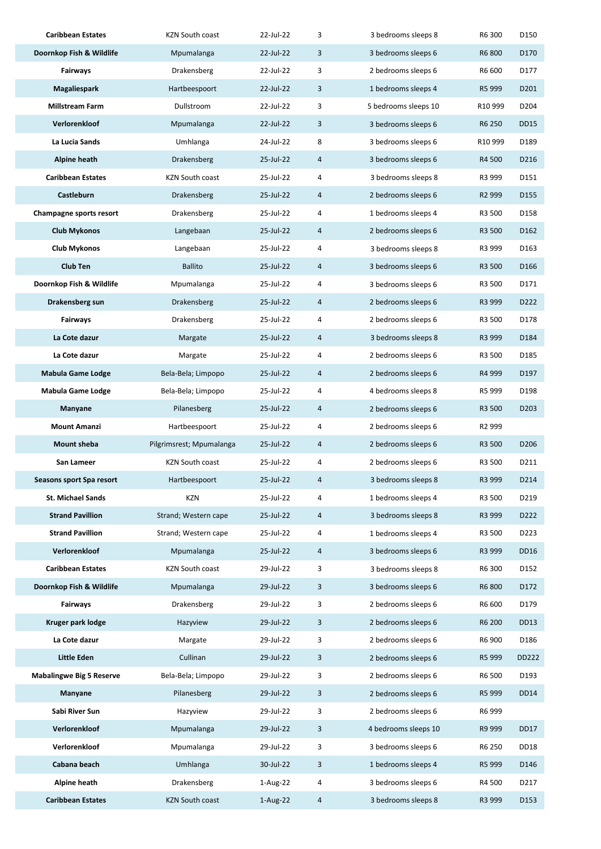| <b>Caribbean Estates</b>        | <b>KZN South coast</b>   | 22-Jul-22   | 3 | 3 bedrooms sleeps 8  | R6 300             | D150              |
|---------------------------------|--------------------------|-------------|---|----------------------|--------------------|-------------------|
| Doornkop Fish & Wildlife        | Mpumalanga               | 22-Jul-22   | 3 | 3 bedrooms sleeps 6  | R6 800             | D170              |
| Fairways                        | Drakensberg              | 22-Jul-22   | 3 | 2 bedrooms sleeps 6  | R6 600             | D177              |
| Magaliespark                    | Hartbeespoort            | 22-Jul-22   | 3 | 1 bedrooms sleeps 4  | R5 999             | D <sub>201</sub>  |
| <b>Millstream Farm</b>          | Dullstroom               | 22-Jul-22   | 3 | 5 bedrooms sleeps 10 | R10 999            | D <sub>204</sub>  |
| Verlorenkloof                   | Mpumalanga               | 22-Jul-22   | 3 | 3 bedrooms sleeps 6  | R6 250             | <b>DD15</b>       |
| La Lucia Sands                  | Umhlanga                 | 24-Jul-22   | 8 | 3 bedrooms sleeps 6  | R10 999            | D189              |
| <b>Alpine heath</b>             | Drakensberg              | 25-Jul-22   | 4 | 3 bedrooms sleeps 6  | R4 500             | D216              |
| <b>Caribbean Estates</b>        | <b>KZN South coast</b>   | 25-Jul-22   | 4 | 3 bedrooms sleeps 8  | R3 999             | D151              |
| Castleburn                      | Drakensberg              | 25-Jul-22   | 4 | 2 bedrooms sleeps 6  | R <sub>2</sub> 999 | D155              |
| Champagne sports resort         | Drakensberg              | 25-Jul-22   | 4 | 1 bedrooms sleeps 4  | R3 500             | D158              |
| <b>Club Mykonos</b>             | Langebaan                | 25-Jul-22   | 4 | 2 bedrooms sleeps 6  | R3 500             | D <sub>162</sub>  |
| <b>Club Mykonos</b>             | Langebaan                | 25-Jul-22   | 4 | 3 bedrooms sleeps 8  | R3 999             | D163              |
| <b>Club Ten</b>                 | <b>Ballito</b>           | 25-Jul-22   | 4 | 3 bedrooms sleeps 6  | R3 500             | D <sub>166</sub>  |
| Doornkop Fish & Wildlife        | Mpumalanga               | 25-Jul-22   | 4 | 3 bedrooms sleeps 6  | R3 500             | D171              |
| Drakensberg sun                 | Drakensberg              | 25-Jul-22   | 4 | 2 bedrooms sleeps 6  | R3 999             | D222              |
| Fairways                        | Drakensberg              | 25-Jul-22   | 4 | 2 bedrooms sleeps 6  | R3 500             | D178              |
| La Cote dazur                   | Margate                  | 25-Jul-22   | 4 | 3 bedrooms sleeps 8  | R3 999             | D184              |
| La Cote dazur                   | Margate                  | 25-Jul-22   | 4 | 2 bedrooms sleeps 6  | R3 500             | D185              |
| <b>Mabula Game Lodge</b>        | Bela-Bela; Limpopo       | 25-Jul-22   | 4 | 2 bedrooms sleeps 6  | R4 999             | D197              |
| <b>Mabula Game Lodge</b>        | Bela-Bela; Limpopo       | 25-Jul-22   | 4 | 4 bedrooms sleeps 8  | R5 999             | D198              |
| Manyane                         | Pilanesberg              | 25-Jul-22   | 4 | 2 bedrooms sleeps 6  | R3 500             | D <sub>2</sub> 03 |
| <b>Mount Amanzi</b>             | Hartbeespoort            | 25-Jul-22   | 4 | 2 bedrooms sleeps 6  | R <sub>2</sub> 999 |                   |
| Mount sheba                     | Pilgrimsrest; Mpumalanga | 25-Jul-22   | 4 | 2 bedrooms sleeps 6  | R3 500             | D206              |
| San Lameer                      | <b>KZN South coast</b>   | 25-Jul-22   | 4 | 2 bedrooms sleeps 6  | R3 500             | D211              |
| Seasons sport Spa resort        | Hartbeespoort            | 25-Jul-22   | 4 | 3 bedrooms sleeps 8  | R3 999             | D214              |
| <b>St. Michael Sands</b>        | KZN                      | 25-Jul-22   | 4 | 1 bedrooms sleeps 4  | R3 500             | D219              |
| <b>Strand Pavillion</b>         | Strand; Western cape     | 25-Jul-22   | 4 | 3 bedrooms sleeps 8  | R3 999             | D222              |
| <b>Strand Pavillion</b>         | Strand; Western cape     | 25-Jul-22   | 4 | 1 bedrooms sleeps 4  | R3 500             | D223              |
| Verlorenkloof                   | Mpumalanga               | 25-Jul-22   | 4 | 3 bedrooms sleeps 6  | R3 999             | DD16              |
| <b>Caribbean Estates</b>        | KZN South coast          | 29-Jul-22   | 3 | 3 bedrooms sleeps 8  | R6 300             | D152              |
| Doornkop Fish & Wildlife        | Mpumalanga               | 29-Jul-22   | 3 | 3 bedrooms sleeps 6  | R6 800             | D172              |
| Fairways                        | Drakensberg              | 29-Jul-22   | 3 | 2 bedrooms sleeps 6  | R6 600             | D179              |
| Kruger park lodge               | Hazyview                 | 29-Jul-22   | 3 | 2 bedrooms sleeps 6  | R6 200             | DD13              |
| La Cote dazur                   | Margate                  | 29-Jul-22   | 3 | 2 bedrooms sleeps 6  | R6 900             | D186              |
| Little Eden                     | Cullinan                 | 29-Jul-22   | 3 | 2 bedrooms sleeps 6  | R5 999             | DD222             |
| <b>Mabalingwe Big 5 Reserve</b> | Bela-Bela; Limpopo       | 29-Jul-22   | 3 | 2 bedrooms sleeps 6  | R6 500             | D193              |
| Manyane                         | Pilanesberg              | 29-Jul-22   | 3 | 2 bedrooms sleeps 6  | R5 999             | <b>DD14</b>       |
| Sabi River Sun                  | Hazyview                 | 29-Jul-22   | 3 | 2 bedrooms sleeps 6  | R6 999             |                   |
| Verlorenkloof                   | Mpumalanga               | 29-Jul-22   | 3 | 4 bedrooms sleeps 10 | R9 999             | <b>DD17</b>       |
| Verlorenkloof                   | Mpumalanga               | 29-Jul-22   | 3 | 3 bedrooms sleeps 6  | R6 250             | DD <sub>18</sub>  |
| Cabana beach                    | Umhlanga                 | 30-Jul-22   | 3 | 1 bedrooms sleeps 4  | R5 999             | D146              |
| Alpine heath                    | Drakensberg              | $1-Aug-22$  | 4 | 3 bedrooms sleeps 6  | R4 500             | D217              |
| <b>Caribbean Estates</b>        | <b>KZN South coast</b>   | $1$ -Aug-22 | 4 | 3 bedrooms sleeps 8  | R3 999             | D153              |